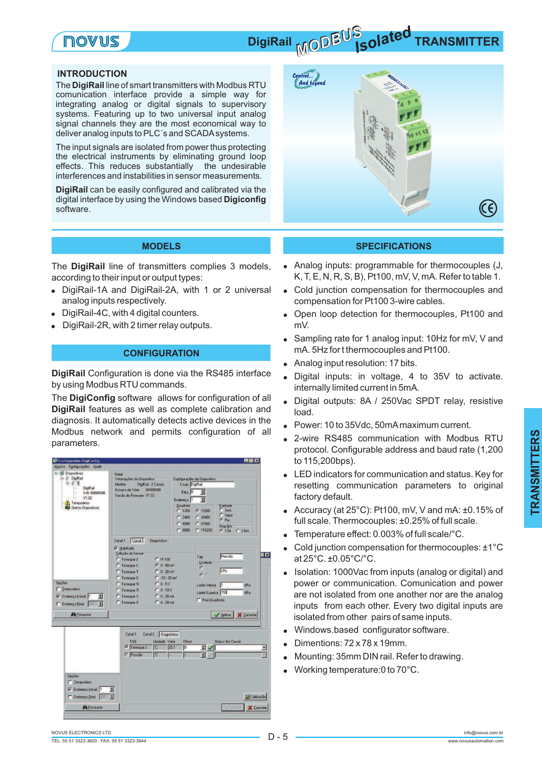# **NOAM2**

# *MODBUS* **DigiRail MODE COLOREY TRANSMITTER**

#### **INTRODUCTION**

The **DigiRail** line of smart transmitters with Modbus RTU comunication interface provide a simple way for integrating analog or digital signals to supervisory systems. Featuring up to two universal input analog signal channels they are the most economical way to deliver analog inputs to PLC´s and SCADA systems.

The input signals are isolated from power thus protecting the electrical instruments by eliminating ground loop effects. This reduces substantially the undesirable interferences and instabilities in sensor measurements.

**DigiRail** can be easily configured and calibrated via the digital interface by using the Windows based **Digiconfig** software.



The DigiRail line of transmitters complies 3 models, according to their input or output types:

- DigiRail-1A and DigiRail-2A, with 1 or 2 universal analog inputs respectively.
- DigiRail-4C, with 4 digital counters. !
- DigiRail-2R, with 2 timer relay outputs. .<br>.

### **CONFIGURATION**

**DigiRail** Configuration is done via the RS485 interface by using Modbus RTU commands.

The DigiConfig software allows for configuration of all **DigiRail** features as well as complete calibration and diagnosis. It automatically detects active devices in the Modbus network and permits configuration of all parameters.



#### **MODELS SPECIFICATIONS**

- . Analog inputs: programmable for thermocouples (J, K, T, E, N, R, S, B), Pt100, mV, V, mA. Refer to table 1.
- ! Cold junction compensation for thermocouples and compensation for Pt100 3-wire cables.
- ! Open loop detection for thermocouples, Pt100 and mV.
- $\bullet$ Sampling rate for 1 analog input: 10Hz for mV, V and mA. 5Hz for t thermocouples and Pt100.
- $\bullet$ Analog input resolution: 17 bits.
- . Digital inputs: in voltage, 4 to 35V to activate. internally limited current in 5mA.
- ! Digital outputs: 8A / 250Vac SPDT relay, resistive load.
- ! Power: 10 to 35Vdc, 50mAmaximum current.
- .<br>. 2-wire RS485 communication with Modbus RTU protocol. Configurable address and baud rate (1,200 to 115,200bps).
- ! LED indicators for communication and status. Key for resetting communication parameters to original factory default.
- ! Accuracy (at 25°C): Pt100, mV, V and mA: ±0.15% of full scale. Thermocouples: ±0.25% of full scale.
- .<br>. Temperature effect: 0.003% of full scale/°C.
- Cold junction compensation for thermocouples: ±1°C at 25°C. ±0.05°C/°C.
- ! Isolation: 1000Vac from inputs (analog or digital) and power or communication. Comunication and power are not isolated from one another nor are the analog inputs from each other. Every two digital inputs are isolated from other pairs of same inputs.
- . Windows.based configurator software.
- .<br>. Dimentions: 72 x 78 x 19mm.
- .<br>. Mounting: 35mm DIN rail. Refer to drawing.
- . Working temperature:0 to 70°C.